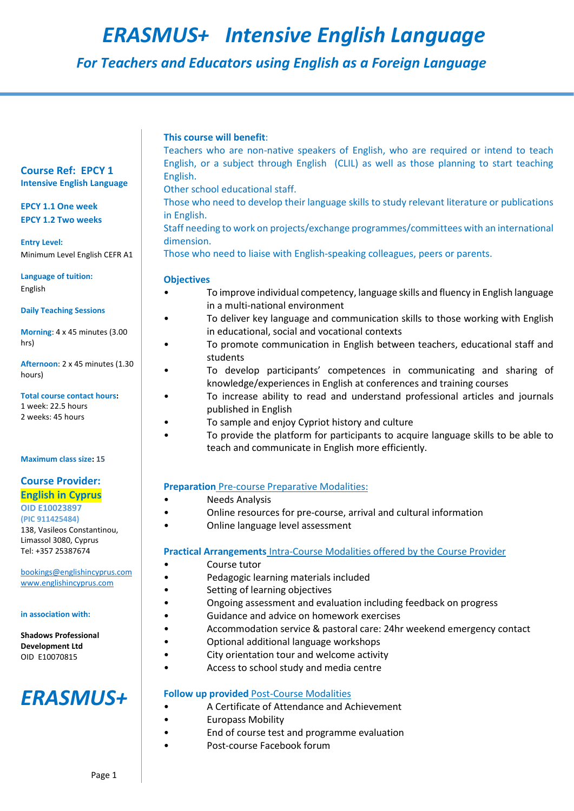# *ERASMUS+ Intensive English Language*

 *For Teachers and Educators using English as a Foreign Language*

# **This course will benefit**:

Teachers who are non-native speakers of English, who are required or intend to teach English, or a subject through English (CLIL) as well as those planning to start teaching English.

Other school educational staff.

Those who need to develop their language skills to study relevant literature or publications in English.

Staff needing to work on projects/exchange programmes/committees with an international dimension.

Those who need to liaise with English-speaking colleagues, peers or parents.

# **Objectives**

- To improve individual competency, language skills and fluency in English language in a multi-national environment
	- To deliver key language and communication skills to those working with English in educational, social and vocational contexts
- To promote communication in English between teachers, educational staff and students
- To develop participants' competences in communicating and sharing of knowledge/experiences in English at conferences and training courses
- To increase ability to read and understand professional articles and journals published in English
- To sample and enjoy Cypriot history and culture
- To provide the platform for participants to acquire language skills to be able to teach and communicate in English more efficiently.

# **Preparation** Pre-course Preparative Modalities:

- Needs Analysis
- Online resources for pre-course, arrival and cultural information
- Online language level assessment

# **Practical Arrangements** Intra-Course Modalities offered by the Course Provider

- Course tutor
- Pedagogic learning materials included
	- Setting of learning objectives
	- Ongoing assessment and evaluation including feedback on progress
	- Guidance and advice on homework exercises
- Accommodation service & pastoral care: 24hr weekend emergency contact
	- Optional additional language workshops
	- City orientation tour and welcome activity
	- Access to school study and media centre

# **Follow up provided** Post-Course Modalities

- A Certificate of Attendance and Achievement
- Europass Mobility
- End of course test and programme evaluation
- Post-course Facebook forum

# **Course Ref: EPCY 1 Intensive English Language**

# **EPCY 1.1 One week EPCY 1.2 Two weeks**

**Entry Level:**  Minimum Level English CEFR A1

**Language of tuition:**  English

**Daily Teaching Sessions** 

**Morning**: 4 x 45 minutes (3.00 hrs)

**Afternoon**: 2 x 45 minutes (1.30 hours)

#### **Total course contact hours:**  1 week: 22.5 hours

2 weeks: 45 hours

### **Maximum class size: 15**

# **Course Provider: English in Cyprus**

**OID E10023897 (PIC 911425484)**  138, Vasileos Constantinou, Limassol 3080, Cyprus Tel: +357 25387674

[bookings@englishincyprus.com](mailto:bookings@englishincyprus.com)  [www.englishincyprus.com](http://www.englishincyprus.com/) 

### **in association with:**

# **Shadows Professional Development Ltd** OID E10070815

# *ERASMUS+*